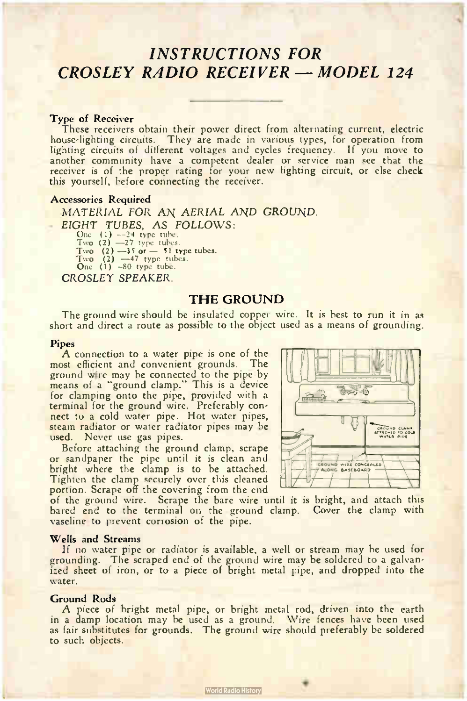# INSTRUCTIONS FOR CROSLEY RADIO RECEIVER - MODEL 124

### Type of Receiver

These receivers obtain their power direct from alternating current, electric house-lighting circuits. They are made in various types, for operation from lighting circuits of different voltages and cycles frequency. If you move to another community have a competent dealer or service man see that the receiver is of the proper rating for your new lighting circuit, or else check this yourself, before connecting the receiver.

### Accessories Required

MATERIAL FOR AN AERIAL AND GROUND. EIGHT TUBES, AS FOLLOWS:

One  $(1)$   $-24$  type tube.<br>Two  $(2)$   $-27$  type tubes.

Two  $(2)$   $-35$  or  $-51$  type tubes.

I wo  $(2)$   $-47$  type tubes.<br>One  $(1)$   $-80$  type tube.

CROSLEY SPEAKER.

# THE GROUND

The ground wire should be insulated copper wire. It is best to run it in as short and direct a route as possible to the object used as a means of grounding.

#### Pipes

A connection to a water pipe is one of the most emcient and convenient grounds. The<br>ground wire may be connected to the pipe by means of a "ground clamp." This is a device for clamping onto the pipe, provided with a terminal for the ground wire. Preferably con-nect to a cold water pipe. Hot water pipes, steam radiator or water radiator pipes may be used. Never use gas pipes.

Before attaching the ground clamp, scrape or sandpaper the pipe until it is clean and bright where the clamp is to be attached. Tighten the clamp securely over this cleaned portion. Scrape off the covering from the end



of the ground wire. Scrape the bare wire until it is bright, and attach this bared end to the terminal on the ground clamp. Cover the clamp with vaseline to prevent corrosion of the pipe.

### Wells and Streams

If no water pipe or radiator is available, a well or stream may be used for grounding. The scraped end of the ground wire may be soldered to a galvan-ized sheet of iron, or to a piece of bright metal pipe, and dropped into the water.

### Ground Rods

A piece of bright metal pipe, or bright metal rod, driven into the earth in a damp location may be used as a ground. Wire fences have been used as fair substitutes for grounds. The ground wire should preferably be soldered to such objects.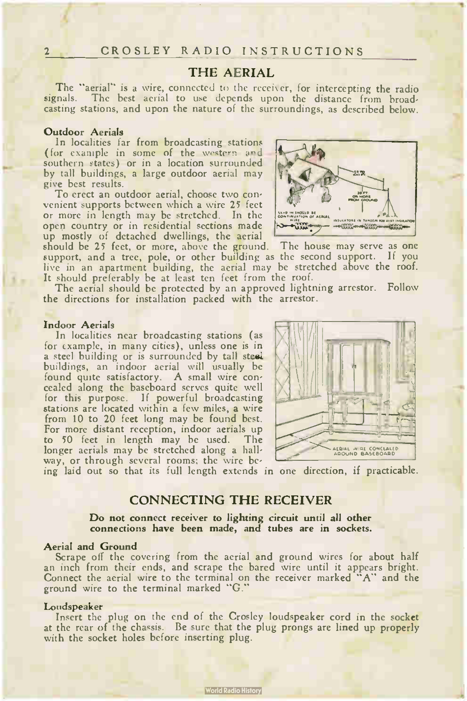# THE AERIAL

The "aerial" is a wire, connected to the receiver, for intercepting the radio signals. The best aerial to use depends upon the distance from broadcasting stations, and upon the nature of the surroundings, as described below.

#### Outdoor Aerials

In localities far from broadcasting stations (for example in some of the western and southern states) or in a location surrounded by tall buildings, a large outdoor aerial may give best results.

To erect an outdoor aerial, choose two convenient supports between which a wire 25 feet or more in length may be stretched. In the open country or in residential sections made up mostly of detached dwellings, the aerial

should be 25 feet, or more, above the ground. The house may serve as one support, and a tree, pole, or other building as the second support. If you live in an apartment building, the aerial may be stretched above the roof. It should preferably be at least ten feet from the roof.

The aerial should be protected by an approved lightning arrestor. Follow the directions for installation packed with the arrestor.

#### Indoor Aerials

In localities near broadcasting stations (as for example, in many cities), unless one is in a steel building or is surrounded by tall steel. buildings, an indoor aerial will usually be found quite satisfactory. A small wire concealed along the baseboard serves quite well for this purpose. If powerful broadcasting stations are located within a few miles, a wire from 10 to 20 feet long may be found best. For more distant reception, indoor aerials up to 50 feet in length may be used. The longer aerials may be stretched along a hallway, or through several rooms; the wire be-



ing laid out so that its full length extends in one direction, if practicable.

# CONNECTING THE RECEIVER

Do not connect receiver to lighting circuit until all other connections have been made, and tubes are in sockets.

# Aerial and Ground

Scrape off the covering from the aerial and ground wires for about half an inch from their ends, and scrape the bared wire until it appears bright. Connect the aerial wire to the terminal on the receiver marked "A" and the ground wire to the terminal marked "G."

#### **Loudspeaker**

Insert the plug on the end of the Crosley loudspeaker cord in the socket at the rear of the chassis. Be sure that the plug prongs are lined up properly with the socket holes before inserting plug.

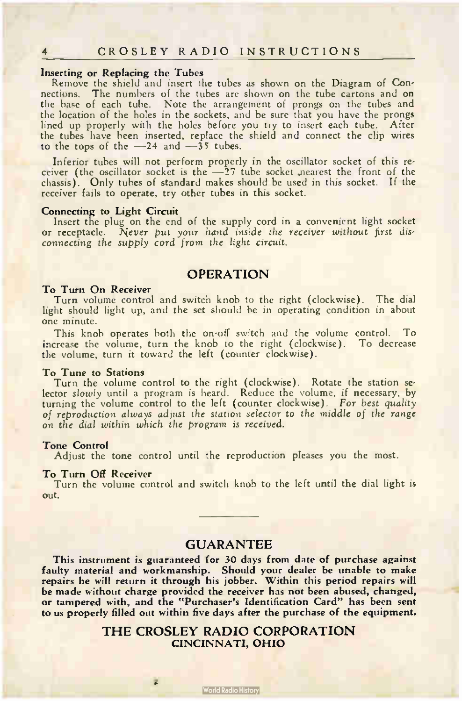#### Inserting or Replacing the Tubes

Remove the shield and insert the tubes as shown on the Diagram of Connections. The numbers of the tubes are shown on the tube cartons and on the base of each tube. Note the arrangement of prongs on the tubes and the location of the holes in the sockets, and be sure that you have the prongs lined up properly with the holes before you try to insert each tube. After the tubes have been inserted, replace the shield and connect the clip wires to the tops of the  $-24$  and  $-35$  tubes.

Inferior tubes will not perform properly in the oscillator socket of this receiver (the oscillator socket is the -27 tube socket nearest the front of the chassis). Only tubes of standard makes should be used in this socket. If the receiver fails to operate, try other tubes in this socket.

#### Connecting to Light Circuit

Insert the plug on the end of the supply cord in a convenient light socket or receptacle. Never put your hand inside the receiver without first dis-connecting the supply cord from the light circuit..

# OPERATION

#### To Turn On Receiver

Turn volume control and switch knob to the right (clockwise). The dial light should light up, and the set should be in operating condition in about one minute.

This knob operates both the on-off switch and the volume control. To increase the volume, turn the knob to the right ( clockwise). To decrease the volume, turn it toward the left ( counter clockwise).

### To Tune to Stations

I urn the volume control to the right (clockwise). Rotate the station se-<br>lector slowly until a program is heard. Reduce the volume, if necessary, by turning the volume control to the left (counter clockwise). For best quality of reproduction always adjust the station selector to the middle of the range on the dial within which the program is received.

#### Tone Control

Adjust the tone control until the reproduction pleases you the most.

#### To Turn Off Receiver

Turn the volume control and switch knob to the left until the dial light is out.

# GUARANTEE

This instrument is guaranteed for 30 days from date of purchase against faulty material and workmanship. Should your dealer be unable to make repairs he will return it through his jobber. Within this period repairs will be made without charge provided the receiver has not been abused, changed, or tampered with, and the "Purchaser's Identification Card" has been sent to us properly filled out within five days after the purchase of the equipment.

# THE CROSLEY RADIO CORPORATION CINCINNATI, OHIO